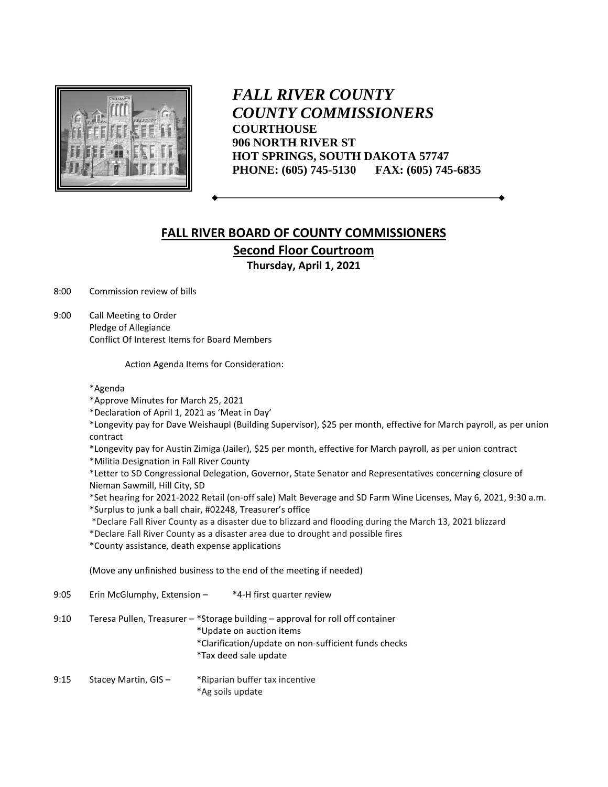

*FALL RIVER COUNTY COUNTY COMMISSIONERS* **COURTHOUSE 906 NORTH RIVER ST HOT SPRINGS, SOUTH DAKOTA 57747 PHONE: (605) 745-5130 FAX: (605) 745-6835**

## **FALL RIVER BOARD OF COUNTY COMMISSIONERS Second Floor Courtroom Thursday, April 1, 2021**

8:00 Commission review of bills

9:00 Call Meeting to Order Pledge of Allegiance Conflict Of Interest Items for Board Members

Action Agenda Items for Consideration:

## \*Agenda

\*Approve Minutes for March 25, 2021

\*Declaration of April 1, 2021 as 'Meat in Day'

\*Longevity pay for Dave Weishaupl (Building Supervisor), \$25 per month, effective for March payroll, as per union contract

\*Longevity pay for Austin Zimiga (Jailer), \$25 per month, effective for March payroll, as per union contract \*Militia Designation in Fall River County

\*Letter to SD Congressional Delegation, Governor, State Senator and Representatives concerning closure of Nieman Sawmill, Hill City, SD

\*Set hearing for 2021-2022 Retail (on-off sale) Malt Beverage and SD Farm Wine Licenses, May 6, 2021, 9:30 a.m. \*Surplus to junk a ball chair, #02248, Treasurer's office

\*Declare Fall River County as a disaster due to blizzard and flooding during the March 13, 2021 blizzard

\*Declare Fall River County as a disaster area due to drought and possible fires

\*County assistance, death expense applications

(Move any unfinished business to the end of the meeting if needed)

| 9:05 | Erin McGlumphy, Extension - | *4-H first quarter review                                                                                                                                                                   |
|------|-----------------------------|---------------------------------------------------------------------------------------------------------------------------------------------------------------------------------------------|
| 9:10 |                             | Teresa Pullen, Treasurer - *Storage building - approval for roll off container<br>*Update on auction items<br>*Clarification/update on non-sufficient funds checks<br>*Tax deed sale update |
| 9:15 | Stacey Martin, GIS-         | *Riparian buffer tax incentive                                                                                                                                                              |

\*Ag soils update